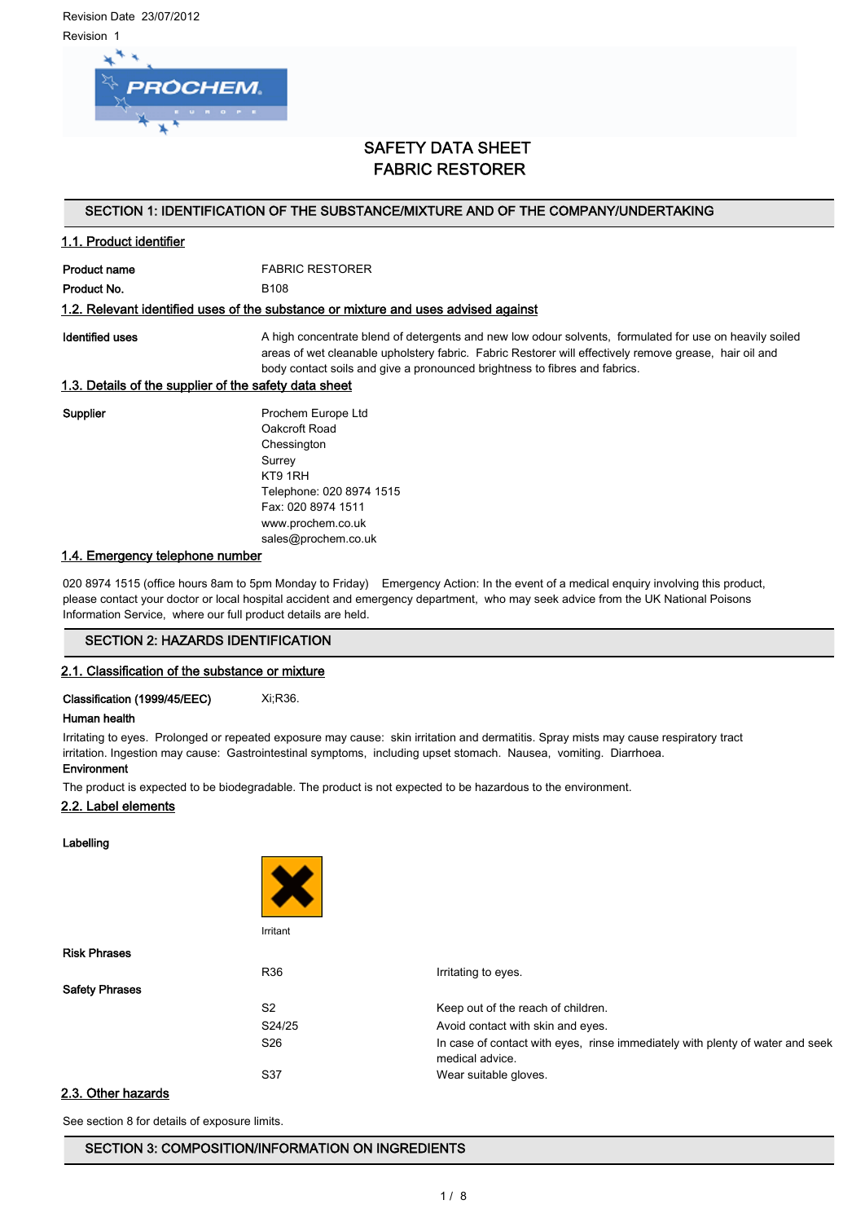Revision Date 23/07/2012 Revision 1



# SAFETY DATA SHEET FABRIC RESTORER

## SECTION 1: IDENTIFICATION OF THE SUBSTANCE/MIXTURE AND OF THE COMPANY/UNDERTAKING

## 1.1. Product identifier

Product name FABRIC RESTORER Product No. 6108

## 1.2. Relevant identified uses of the substance or mixture and uses advised against

Identified uses **A** high concentrate blend of detergents and new low odour solvents, formulated for use on heavily soiled areas of wet cleanable upholstery fabric. Fabric Restorer will effectively remove grease, hair oil and body contact soils and give a pronounced brightness to fibres and fabrics.

## 1.3. Details of the supplier of the safety data sheet

Supplier **Prochem Europe Ltd** Oakcroft Road Chessington Surrey KT9 1RH Telephone: 020 8974 1515 Fax: 020 8974 1511 www.prochem.co.uk sales@prochem.co.uk

## 1.4. Emergency telephone number

020 8974 1515 (office hours 8am to 5pm Monday to Friday) Emergency Action: In the event of a medical enquiry involving this product, please contact your doctor or local hospital accident and emergency department, who may seek advice from the UK National Poisons Information Service, where our full product details are held.

## SECTION 2: HAZARDS IDENTIFICATION

## 2.1. Classification of the substance or mixture

Classification (1999/45/EEC) Xi;R36.

#### Human health

Irritating to eyes. Prolonged or repeated exposure may cause: skin irritation and dermatitis. Spray mists may cause respiratory tract irritation. Ingestion may cause: Gastrointestinal symptoms, including upset stomach. Nausea, vomiting. Diarrhoea. Environment

The product is expected to be biodegradable. The product is not expected to be hazardous to the environment.

## 2.2. Label elements

Labelling

|                       | Irritant        |                                                                                                  |
|-----------------------|-----------------|--------------------------------------------------------------------------------------------------|
| <b>Risk Phrases</b>   |                 |                                                                                                  |
|                       | R36             | Irritating to eyes.                                                                              |
| <b>Safety Phrases</b> |                 |                                                                                                  |
|                       | S <sub>2</sub>  | Keep out of the reach of children.                                                               |
|                       | S24/25          | Avoid contact with skin and eyes.                                                                |
|                       | S <sub>26</sub> | In case of contact with eyes, rinse immediately with plenty of water and seek<br>medical advice. |
|                       | S37             | Wear suitable gloves.                                                                            |
| 2.3. Other hazarde    |                 |                                                                                                  |

## uer n

See section 8 for details of exposure limits.

## SECTION 3: COMPOSITION/INFORMATION ON INGREDIENTS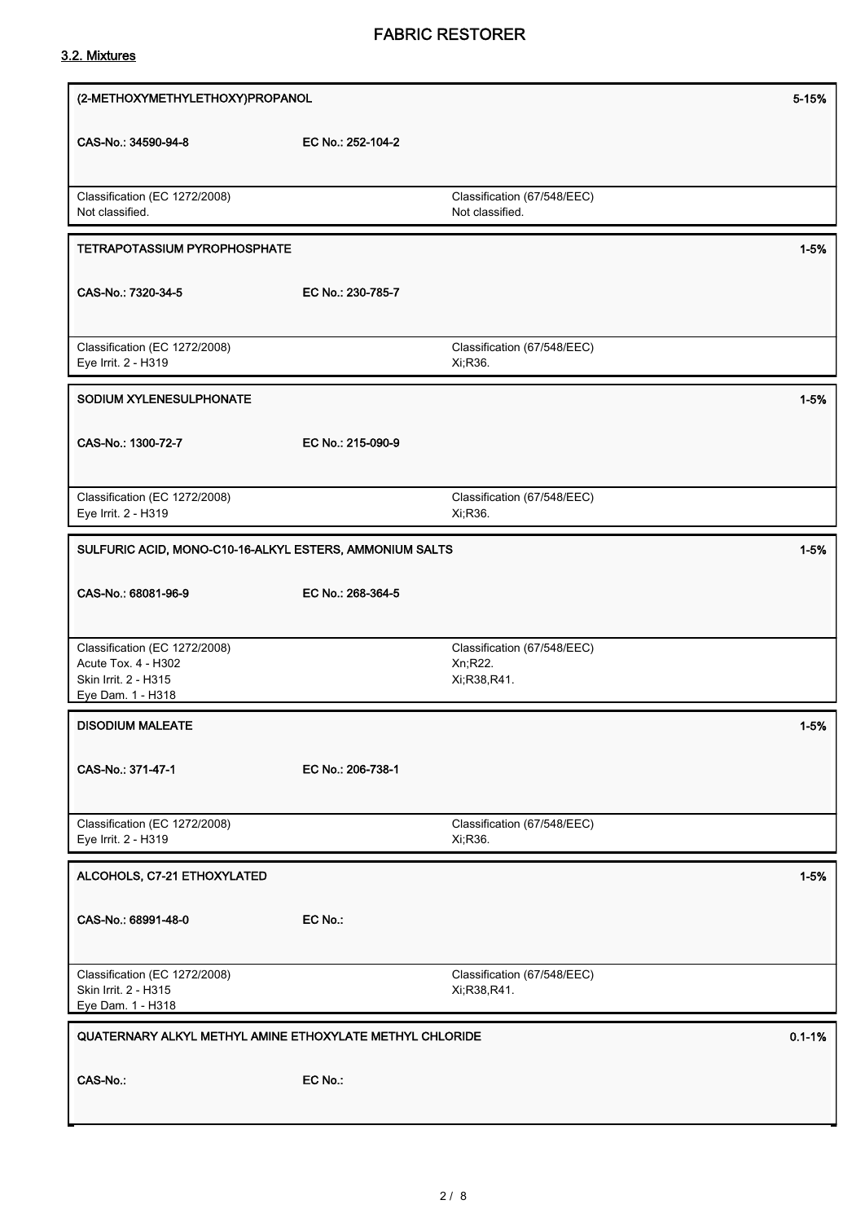## 3.2. Mixtures

| (2-METHOXYMETHYLETHOXY)PROPANOL                                                                   |                   |                                                         | 5-15%      |
|---------------------------------------------------------------------------------------------------|-------------------|---------------------------------------------------------|------------|
| CAS-No.: 34590-94-8                                                                               | EC No.: 252-104-2 |                                                         |            |
| Classification (EC 1272/2008)<br>Not classified.                                                  |                   | Classification (67/548/EEC)<br>Not classified.          |            |
| <b>TETRAPOTASSIUM PYROPHOSPHATE</b>                                                               |                   |                                                         | $1 - 5%$   |
| CAS-No.: 7320-34-5                                                                                | EC No.: 230-785-7 |                                                         |            |
| Classification (EC 1272/2008)<br>Eye Irrit. 2 - H319                                              |                   | Classification (67/548/EEC)<br>Xi, R36.                 |            |
| SODIUM XYLENESULPHONATE                                                                           |                   |                                                         | $1 - 5%$   |
| CAS-No.: 1300-72-7                                                                                | EC No.: 215-090-9 |                                                         |            |
| Classification (EC 1272/2008)<br>Eye Irrit. 2 - H319                                              |                   | Classification (67/548/EEC)<br>Xi, R36.                 |            |
| SULFURIC ACID, MONO-C10-16-ALKYL ESTERS, AMMONIUM SALTS                                           |                   |                                                         | $1 - 5%$   |
| CAS-No.: 68081-96-9                                                                               | EC No.: 268-364-5 |                                                         |            |
| Classification (EC 1272/2008)<br>Acute Tox. 4 - H302<br>Skin Irrit. 2 - H315<br>Eye Dam. 1 - H318 |                   | Classification (67/548/EEC)<br>Xn;R22.<br>Xi, R38, R41. |            |
| <b>DISODIUM MALEATE</b>                                                                           |                   |                                                         | $1 - 5%$   |
| CAS-No.: 371-47-1                                                                                 | EC No.: 206-738-1 |                                                         |            |
| Classification (EC 1272/2008)<br>Eye Irrit. 2 - H319                                              |                   | Classification (67/548/EEC)<br>Xi, R36.                 |            |
| ALCOHOLS, C7-21 ETHOXYLATED                                                                       |                   |                                                         | $1 - 5%$   |
| CAS-No.: 68991-48-0                                                                               | EC No.:           |                                                         |            |
| Classification (EC 1272/2008)<br>Skin Irrit. 2 - H315<br>Eye Dam. 1 - H318                        |                   | Classification (67/548/EEC)<br>Xi, R38, R41.            |            |
| QUATERNARY ALKYL METHYL AMINE ETHOXYLATE METHYL CHLORIDE                                          |                   |                                                         | $0.1 - 1%$ |
| CAS-No.:                                                                                          | EC No.:           |                                                         |            |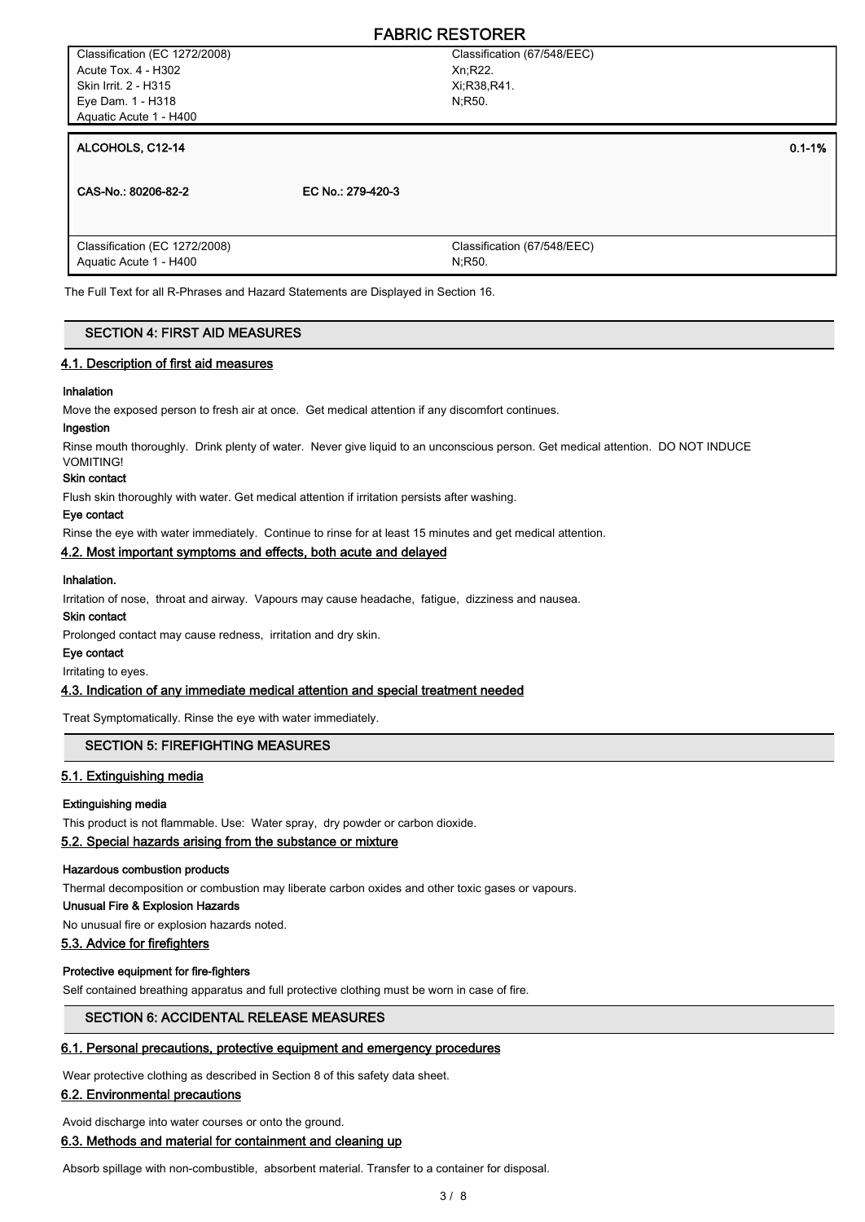Classification (67/548/EEC) Xn;R22. Xi;R38,R41. N;R50.

## ALCOHOLS, C12-14 0.1-1% and the contract of the contract of the contract of the contract of the contract of the contract of the contract of the contract of the contract of the contract of the contract of the contract of th

CAS-No.: 80206-82-2 EC No.: 279-420-3 Classification (67/548/EEC) N;R50. Classification (EC 1272/2008) Aquatic Acute 1 - H400

The Full Text for all R-Phrases and Hazard Statements are Displayed in Section 16.

#### SECTION 4: FIRST AID MEASURES

#### 4.1. Description of first aid measures

#### Inhalation

Move the exposed person to fresh air at once. Get medical attention if any discomfort continues.

#### Ingestion

Rinse mouth thoroughly. Drink plenty of water. Never give liquid to an unconscious person. Get medical attention. DO NOT INDUCE VOMITING!

#### Skin contact

Flush skin thoroughly with water. Get medical attention if irritation persists after washing.

#### Eye contact

Rinse the eye with water immediately. Continue to rinse for at least 15 minutes and get medical attention.

#### 4.2. Most important symptoms and effects, both acute and delayed

#### Inhalation.

Irritation of nose, throat and airway. Vapours may cause headache, fatigue, dizziness and nausea.

## Skin contact

Prolonged contact may cause redness, irritation and dry skin.

## Eye contact

Irritating to eyes.

#### 4.3. Indication of any immediate medical attention and special treatment needed

Treat Symptomatically. Rinse the eye with water immediately.

## SECTION 5: FIREFIGHTING MEASURES

#### 5.1. Extinguishing media

#### Extinguishing media

This product is not flammable. Use: Water spray, dry powder or carbon dioxide.

## 5.2. Special hazards arising from the substance or mixture

#### Hazardous combustion products

Thermal decomposition or combustion may liberate carbon oxides and other toxic gases or vapours.

## Unusual Fire & Explosion Hazards

No unusual fire or explosion hazards noted.

## 5.3. Advice for firefighters

#### Protective equipment for fire-fighters

Self contained breathing apparatus and full protective clothing must be worn in case of fire.

#### SECTION 6: ACCIDENTAL RELEASE MEASURES

#### 6.1. Personal precautions, protective equipment and emergency procedures

Wear protective clothing as described in Section 8 of this safety data sheet.

#### 6.2. Environmental precautions

Avoid discharge into water courses or onto the ground.

## 6.3. Methods and material for containment and cleaning up

Absorb spillage with non-combustible, absorbent material. Transfer to a container for disposal.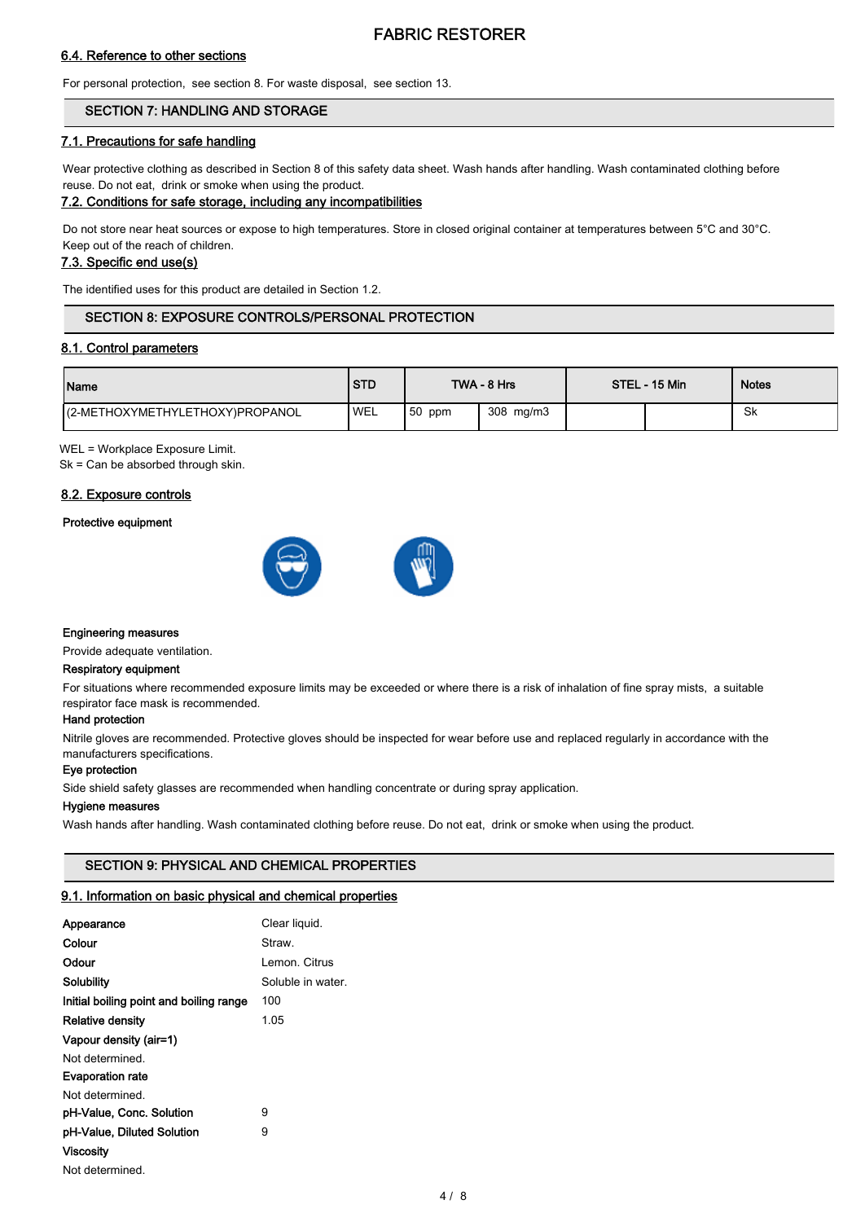## 6.4. Reference to other sections

For personal protection, see section 8. For waste disposal, see section 13.

## SECTION 7: HANDLING AND STORAGE

## 7.1. Precautions for safe handling

Wear protective clothing as described in Section 8 of this safety data sheet. Wash hands after handling. Wash contaminated clothing before reuse. Do not eat, drink or smoke when using the product.

#### 7.2. Conditions for safe storage, including any incompatibilities

Do not store near heat sources or expose to high temperatures. Store in closed original container at temperatures between 5°C and 30°C. Keep out of the reach of children.

## 7.3. Specific end use(s)

The identified uses for this product are detailed in Section 1.2.

## SECTION 8: EXPOSURE CONTROLS/PERSONAL PROTECTION

#### 8.1. Control parameters

| Name                            | <b>STD</b> |          | TWA - 8 Hrs | STEL - 15 Min | <b>Notes</b> |
|---------------------------------|------------|----------|-------------|---------------|--------------|
| (2-METHOXYMETHYLETHOXY)PROPANOL | <b>WEL</b> | $50$ ppm | 308 mg/m3   |               | -Sk          |

WEL = Workplace Exposure Limit.

Sk = Can be absorbed through skin.

## 8.2. Exposure controls

#### Protective equipment



## Engineering measures

Provide adequate ventilation.

#### Respiratory equipment

For situations where recommended exposure limits may be exceeded or where there is a risk of inhalation of fine spray mists, a suitable respirator face mask is recommended.

#### Hand protection

Nitrile gloves are recommended. Protective gloves should be inspected for wear before use and replaced regularly in accordance with the manufacturers specifications.

## Eye protection

Side shield safety glasses are recommended when handling concentrate or during spray application.

## Hygiene measures

Wash hands after handling. Wash contaminated clothing before reuse. Do not eat, drink or smoke when using the product.

## SECTION 9: PHYSICAL AND CHEMICAL PROPERTIES

## 9.1. Information on basic physical and chemical properties

| Appearance                              | Clear liquid.     |
|-----------------------------------------|-------------------|
| Colour                                  | Straw             |
| Odour                                   | Lemon. Citrus     |
| Solubility                              | Soluble in water. |
| Initial boiling point and boiling range | 100               |
| <b>Relative density</b>                 | 1.05              |
| Vapour density (air=1)                  |                   |
| Not determined                          |                   |
| <b>Evaporation rate</b>                 |                   |
| Not determined.                         |                   |
| pH-Value, Conc. Solution                | 9                 |
| pH-Value, Diluted Solution              | 9                 |
| Viscosity                               |                   |
| Not determined.                         |                   |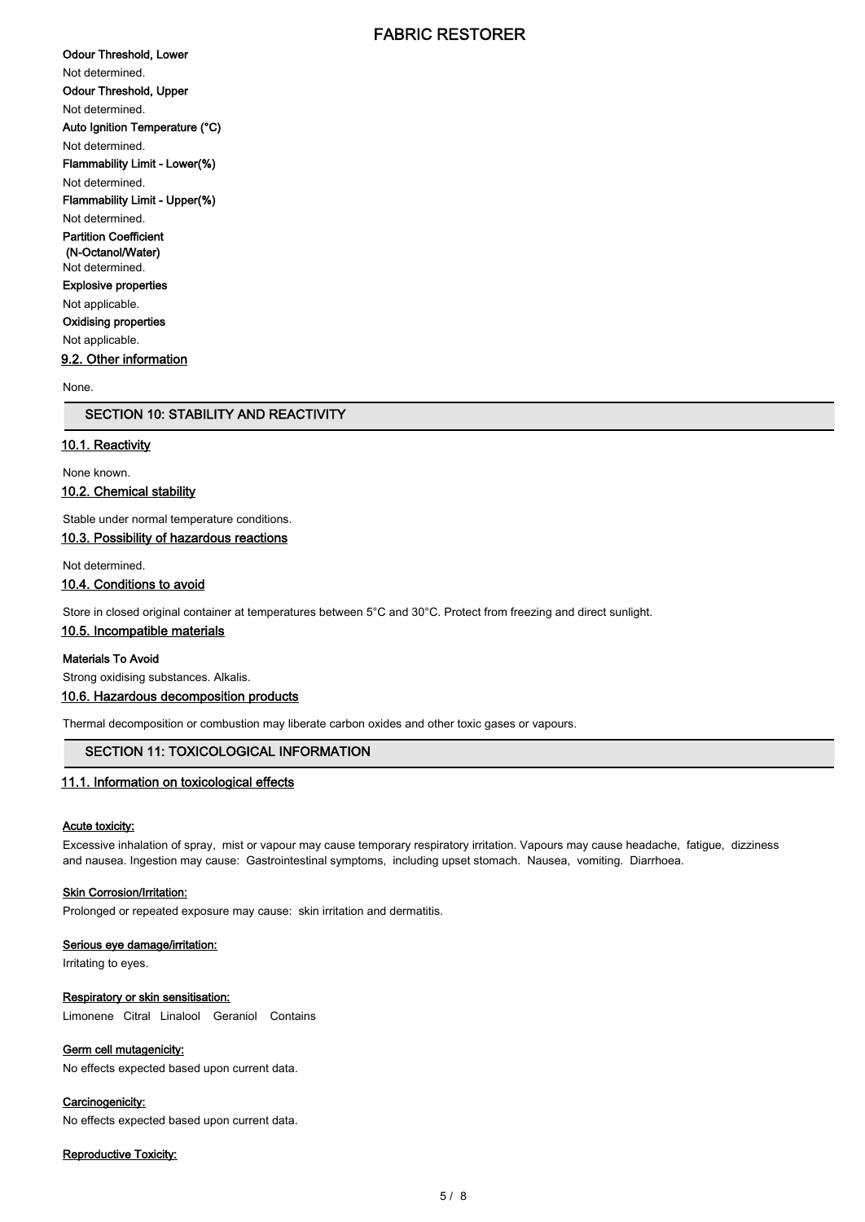Odour Threshold, Lower Not determined. Odour Threshold, Upper Not determined. Auto Ignition Temperature (°C) Not determined. Flammability Limit - Lower(%) Not determined. Flammability Limit - Upper(%) Not determined. Partition Coefficient (N-Octanol/Water) Not determined. Explosive properties Not applicable. Oxidising properties Not applicable. 9.2. Other information None.

## SECTION 10: STABILITY AND REACTIVITY

## 10.1. Reactivity

None known.

10.2. Chemical stability

Stable under normal temperature conditions.

## 10.3. Possibility of hazardous reactions

Not determined.

## 10.4. Conditions to avoid

Store in closed original container at temperatures between 5°C and 30°C. Protect from freezing and direct sunlight.

#### 10.5. Incompatible materials

#### Materials To Avoid

Strong oxidising substances. Alkalis.

## 10.6. Hazardous decomposition products

Thermal decomposition or combustion may liberate carbon oxides and other toxic gases or vapours.

## SECTION 11: TOXICOLOGICAL INFORMATION

#### 11.1. Information on toxicological effects

#### Acute toxicity:

Excessive inhalation of spray, mist or vapour may cause temporary respiratory irritation. Vapours may cause headache, fatigue, dizziness and nausea. Ingestion may cause: Gastrointestinal symptoms, including upset stomach. Nausea, vomiting. Diarrhoea.

#### Skin Corrosion/Irritation:

Prolonged or repeated exposure may cause: skin irritation and dermatitis.

#### Serious eye damage/irritation:

Irritating to eyes.

#### Respiratory or skin sensitisation:

Limonene Citral Linalool Geraniol Contains

## Germ cell mutagenicity:

No effects expected based upon current data.

## Carcinogenicity:

No effects expected based upon current data.

#### Reproductive Toxicity: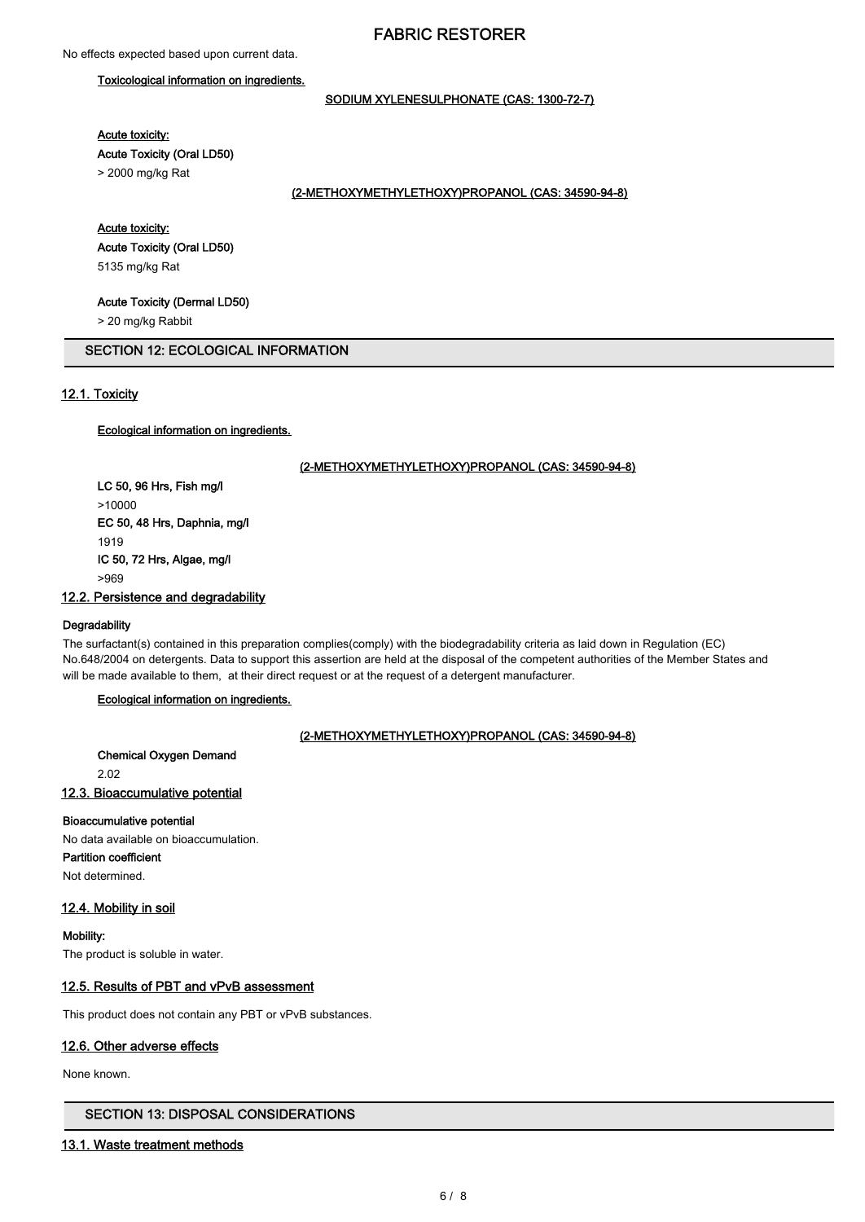## Toxicological information on ingredients.

## SODIUM XYLENESULPHONATE (CAS: 1300-72-7)

Acute toxicity:

Acute Toxicity (Oral LD50)

> 2000 mg/kg Rat

#### (2-METHOXYMETHYLETHOXY)PROPANOL (CAS: 34590-94-8)

## Acute toxicity:

Acute Toxicity (Oral LD50) 5135 mg/kg Rat

#### Acute Toxicity (Dermal LD50)

> 20 mg/kg Rabbit

### SECTION 12: ECOLOGICAL INFORMATION

## 12.1. Toxicity

## Ecological information on ingredients.

#### (2-METHOXYMETHYLETHOXY)PROPANOL (CAS: 34590-94-8)

LC 50, 96 Hrs, Fish mg/l >10000 EC 50, 48 Hrs, Daphnia, mg/l 1919 IC 50, 72 Hrs, Algae, mg/l >969

#### 12.2. Persistence and degradability

#### **Degradability**

The surfactant(s) contained in this preparation complies(comply) with the biodegradability criteria as laid down in Regulation (EC) No.648/2004 on detergents. Data to support this assertion are held at the disposal of the competent authorities of the Member States and will be made available to them, at their direct request or at the request of a detergent manufacturer.

## Ecological information on ingredients.

#### (2-METHOXYMETHYLETHOXY)PROPANOL (CAS: 34590-94-8)

#### Chemical Oxygen Demand

2.02

## 12.3. Bioaccumulative potential

#### Bioaccumulative potential

No data available on bioaccumulation. Partition coefficient Not determined.

#### 12.4. Mobility in soil

Mobility: The product is soluble in water.

## 12.5. Results of PBT and vPvB assessment

This product does not contain any PBT or vPvB substances.

#### 12.6. Other adverse effects

None known.

## SECTION 13: DISPOSAL CONSIDERATIONS

## 13.1. Waste treatment methods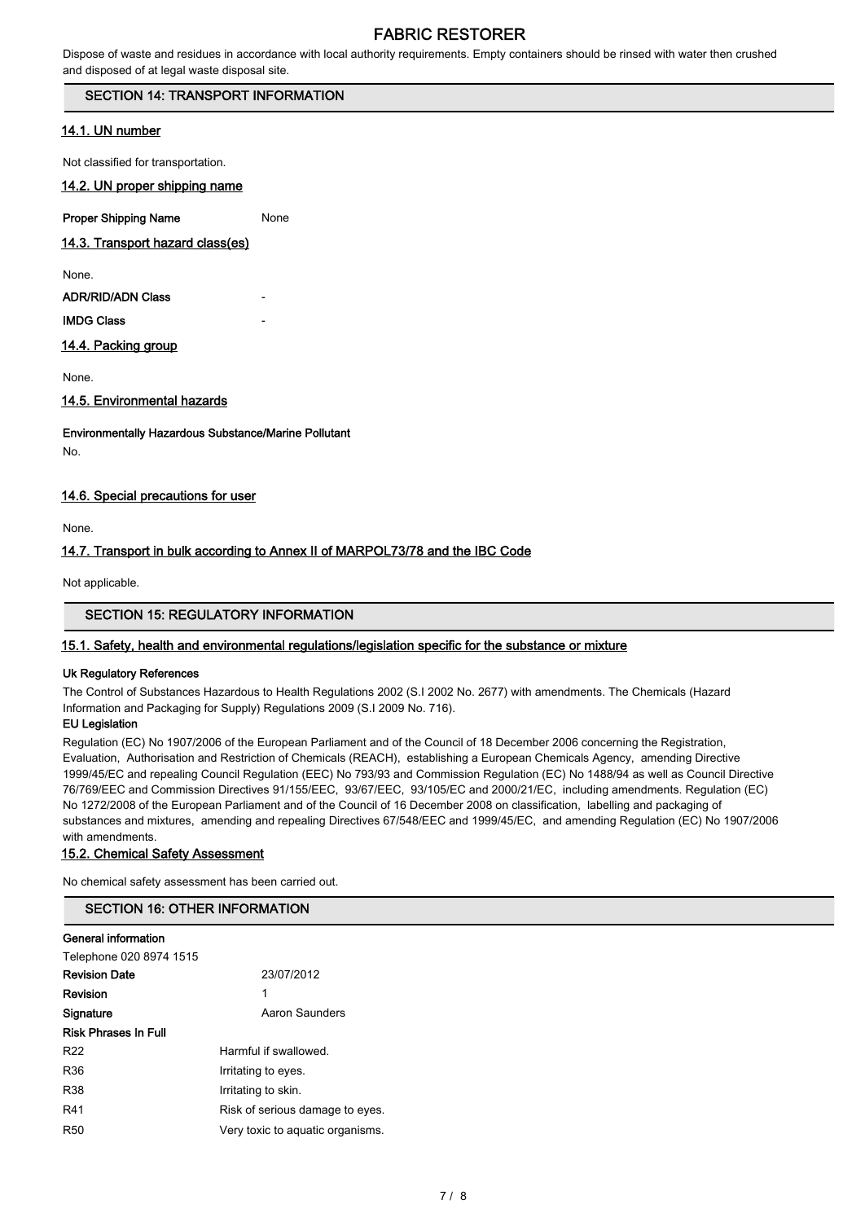Dispose of waste and residues in accordance with local authority requirements. Empty containers should be rinsed with water then crushed and disposed of at legal waste disposal site.

## SECTION 14: TRANSPORT INFORMATION

## 14.1. UN number

Not classified for transportation.

## 14.2. UN proper shipping name

**Proper Shipping Name** None

## 14.3. Transport hazard class(es)

None.

ADR/RID/ADN Class

## **IMDG Class**

## 14.4. Packing group

None.

## 14.5. Environmental hazards

Environmentally Hazardous Substance/Marine Pollutant

No.

## 14.6. Special precautions for user

None.

# 14.7. Transport in bulk according to Annex II of MARPOL73/78 and the IBC Code

Not applicable.

## SECTION 15: REGULATORY INFORMATION

## 15.1. Safety, health and environmental regulations/legislation specific for the substance or mixture

## Uk Regulatory References

The Control of Substances Hazardous to Health Regulations 2002 (S.I 2002 No. 2677) with amendments. The Chemicals (Hazard Information and Packaging for Supply) Regulations 2009 (S.I 2009 No. 716).

## EU Legislation

Regulation (EC) No 1907/2006 of the European Parliament and of the Council of 18 December 2006 concerning the Registration, Evaluation, Authorisation and Restriction of Chemicals (REACH), establishing a European Chemicals Agency, amending Directive 1999/45/EC and repealing Council Regulation (EEC) No 793/93 and Commission Regulation (EC) No 1488/94 as well as Council Directive 76/769/EEC and Commission Directives 91/155/EEC, 93/67/EEC, 93/105/EC and 2000/21/EC, including amendments. Regulation (EC) No 1272/2008 of the European Parliament and of the Council of 16 December 2008 on classification, labelling and packaging of substances and mixtures, amending and repealing Directives 67/548/EEC and 1999/45/EC, and amending Regulation (EC) No 1907/2006 with amendments.

## 15.2. Chemical Safety Assessment

No chemical safety assessment has been carried out.

## SECTION 16: OTHER INFORMATION

#### General information

| Telephone 020 8974 1515     |                                  |
|-----------------------------|----------------------------------|
| <b>Revision Date</b>        | 23/07/2012                       |
| Revision                    | 1                                |
| Signature                   | Aaron Saunders                   |
| <b>Risk Phrases In Full</b> |                                  |
| R <sub>22</sub>             | Harmful if swallowed.            |
| R36                         | Irritating to eyes.              |
| <b>R38</b>                  | Irritating to skin.              |
| R41                         | Risk of serious damage to eyes.  |
| R <sub>50</sub>             | Very toxic to aquatic organisms. |